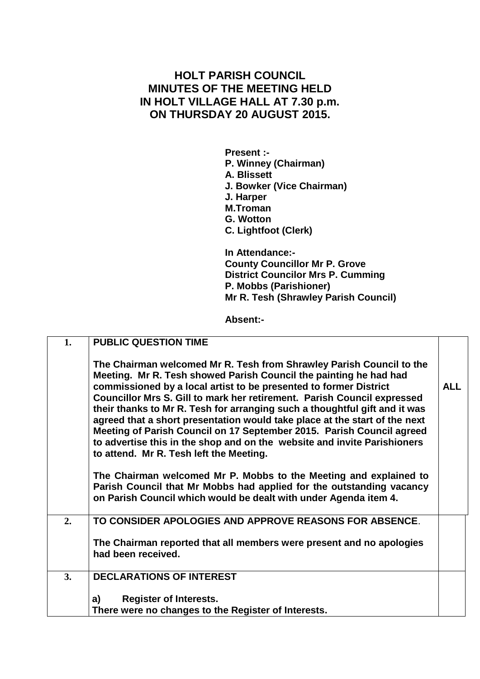## **HOLT PARISH COUNCIL MINUTES OF THE MEETING HELD IN HOLT VILLAGE HALL AT 7.30 p.m. ON THURSDAY 20 AUGUST 2015.**

**Present :- P. Winney (Chairman) A. Blissett J. Bowker (Vice Chairman) J. Harper M.Troman G. Wotton C. Lightfoot (Clerk)**

**In Attendance:- County Councillor Mr P. Grove District Councilor Mrs P. Cumming P. Mobbs (Parishioner) Mr R. Tesh (Shrawley Parish Council)**

**Absent:-**

| 1. | <b>PUBLIC QUESTION TIME</b>                                                                                                                                                                                                                                                                                                                                                                                                                                                                                                                                                                                                                           |            |
|----|-------------------------------------------------------------------------------------------------------------------------------------------------------------------------------------------------------------------------------------------------------------------------------------------------------------------------------------------------------------------------------------------------------------------------------------------------------------------------------------------------------------------------------------------------------------------------------------------------------------------------------------------------------|------------|
|    | The Chairman welcomed Mr R. Tesh from Shrawley Parish Council to the<br>Meeting. Mr R. Tesh showed Parish Council the painting he had had<br>commissioned by a local artist to be presented to former District<br>Councillor Mrs S. Gill to mark her retirement. Parish Council expressed<br>their thanks to Mr R. Tesh for arranging such a thoughtful gift and it was<br>agreed that a short presentation would take place at the start of the next<br>Meeting of Parish Council on 17 September 2015. Parish Council agreed<br>to advertise this in the shop and on the website and invite Parishioners<br>to attend. Mr R. Tesh left the Meeting. | <b>ALL</b> |
|    | The Chairman welcomed Mr P. Mobbs to the Meeting and explained to<br>Parish Council that Mr Mobbs had applied for the outstanding vacancy<br>on Parish Council which would be dealt with under Agenda item 4.                                                                                                                                                                                                                                                                                                                                                                                                                                         |            |
| 2. | TO CONSIDER APOLOGIES AND APPROVE REASONS FOR ABSENCE.                                                                                                                                                                                                                                                                                                                                                                                                                                                                                                                                                                                                |            |
|    | The Chairman reported that all members were present and no apologies<br>had been received.                                                                                                                                                                                                                                                                                                                                                                                                                                                                                                                                                            |            |
| 3. | <b>DECLARATIONS OF INTEREST</b>                                                                                                                                                                                                                                                                                                                                                                                                                                                                                                                                                                                                                       |            |
|    | <b>Register of Interests.</b><br>a)<br>There were no changes to the Register of Interests.                                                                                                                                                                                                                                                                                                                                                                                                                                                                                                                                                            |            |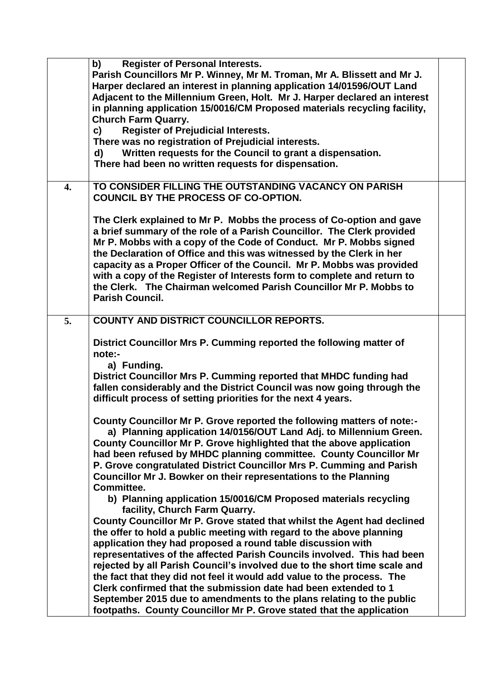|                  | b)<br><b>Register of Personal Interests.</b>                              |  |
|------------------|---------------------------------------------------------------------------|--|
|                  | Parish Councillors Mr P. Winney, Mr M. Troman, Mr A. Blissett and Mr J.   |  |
|                  | Harper declared an interest in planning application 14/01596/OUT Land     |  |
|                  | Adjacent to the Millennium Green, Holt. Mr J. Harper declared an interest |  |
|                  |                                                                           |  |
|                  | in planning application 15/0016/CM Proposed materials recycling facility, |  |
|                  | <b>Church Farm Quarry.</b>                                                |  |
|                  | <b>Register of Prejudicial Interests.</b><br>c)                           |  |
|                  | There was no registration of Prejudicial interests.                       |  |
|                  | Written requests for the Council to grant a dispensation.<br>d)           |  |
|                  | There had been no written requests for dispensation.                      |  |
|                  |                                                                           |  |
|                  | TO CONSIDER FILLING THE OUTSTANDING VACANCY ON PARISH                     |  |
| $\overline{4}$ . |                                                                           |  |
|                  | <b>COUNCIL BY THE PROCESS OF CO-OPTION.</b>                               |  |
|                  |                                                                           |  |
|                  | The Clerk explained to Mr P. Mobbs the process of Co-option and gave      |  |
|                  | a brief summary of the role of a Parish Councillor. The Clerk provided    |  |
|                  | Mr P. Mobbs with a copy of the Code of Conduct. Mr P. Mobbs signed        |  |
|                  | the Declaration of Office and this was witnessed by the Clerk in her      |  |
|                  | capacity as a Proper Officer of the Council. Mr P. Mobbs was provided     |  |
|                  | with a copy of the Register of Interests form to complete and return to   |  |
|                  |                                                                           |  |
|                  | the Clerk. The Chairman welcomed Parish Councillor Mr P. Mobbs to         |  |
|                  | <b>Parish Council.</b>                                                    |  |
|                  |                                                                           |  |
| 5.               | <b>COUNTY AND DISTRICT COUNCILLOR REPORTS.</b>                            |  |
|                  |                                                                           |  |
|                  | District Councillor Mrs P. Cumming reported the following matter of       |  |
|                  | note:-                                                                    |  |
|                  | a) Funding.                                                               |  |
|                  | District Councillor Mrs P. Cumming reported that MHDC funding had         |  |
|                  | fallen considerably and the District Council was now going through the    |  |
|                  |                                                                           |  |
|                  | difficult process of setting priorities for the next 4 years.             |  |
|                  |                                                                           |  |
|                  | County Councillor Mr P. Grove reported the following matters of note:-    |  |
|                  | a) Planning application 14/0156/OUT Land Adj. to Millennium Green.        |  |
|                  | County Councillor Mr P. Grove highlighted that the above application      |  |
|                  | had been refused by MHDC planning committee. County Councillor Mr         |  |
|                  | P. Grove congratulated District Councillor Mrs P. Cumming and Parish      |  |
|                  | Councillor Mr J. Bowker on their representations to the Planning          |  |
|                  | Committee.                                                                |  |
|                  |                                                                           |  |
|                  | b) Planning application 15/0016/CM Proposed materials recycling           |  |
|                  | facility, Church Farm Quarry.                                             |  |
|                  | County Councillor Mr P. Grove stated that whilst the Agent had declined   |  |
|                  | the offer to hold a public meeting with regard to the above planning      |  |
|                  | application they had proposed a round table discussion with               |  |
|                  | representatives of the affected Parish Councils involved. This had been   |  |
|                  | rejected by all Parish Council's involved due to the short time scale and |  |
|                  | the fact that they did not feel it would add value to the process. The    |  |
|                  |                                                                           |  |
|                  | Clerk confirmed that the submission date had been extended to 1           |  |
|                  | September 2015 due to amendments to the plans relating to the public      |  |
|                  | footpaths. County Councillor Mr P. Grove stated that the application      |  |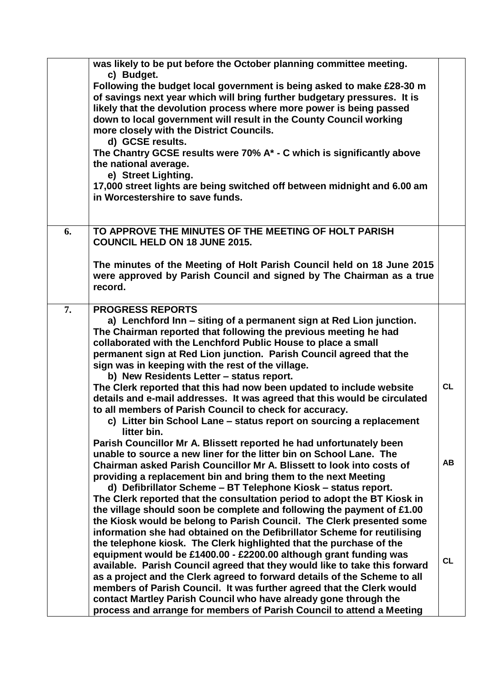|    | was likely to be put before the October planning committee meeting.<br>c) Budget.<br>Following the budget local government is being asked to make £28-30 m<br>of savings next year which will bring further budgetary pressures. It is<br>likely that the devolution process where more power is being passed<br>down to local government will result in the County Council working<br>more closely with the District Councils.<br>d) GCSE results.<br>The Chantry GCSE results were 70% A* - C which is significantly above<br>the national average.<br>e) Street Lighting.<br>17,000 street lights are being switched off between midnight and 6.00 am<br>in Worcestershire to save funds.                      |           |
|----|-------------------------------------------------------------------------------------------------------------------------------------------------------------------------------------------------------------------------------------------------------------------------------------------------------------------------------------------------------------------------------------------------------------------------------------------------------------------------------------------------------------------------------------------------------------------------------------------------------------------------------------------------------------------------------------------------------------------|-----------|
| 6. | TO APPROVE THE MINUTES OF THE MEETING OF HOLT PARISH<br><b>COUNCIL HELD ON 18 JUNE 2015.</b><br>The minutes of the Meeting of Holt Parish Council held on 18 June 2015<br>were approved by Parish Council and signed by The Chairman as a true<br>record.                                                                                                                                                                                                                                                                                                                                                                                                                                                         |           |
| 7. | <b>PROGRESS REPORTS</b><br>a) Lenchford Inn – siting of a permanent sign at Red Lion junction.<br>The Chairman reported that following the previous meeting he had<br>collaborated with the Lenchford Public House to place a small<br>permanent sign at Red Lion junction. Parish Council agreed that the<br>sign was in keeping with the rest of the village.<br>b) New Residents Letter - status report.<br>The Clerk reported that this had now been updated to include website<br>details and e-mail addresses. It was agreed that this would be circulated<br>to all members of Parish Council to check for accuracy.<br>c) Litter bin School Lane – status report on sourcing a replacement<br>litter bin. | <b>CL</b> |
|    | Parish Councillor Mr A. Blissett reported he had unfortunately been<br>unable to source a new liner for the litter bin on School Lane. The<br>Chairman asked Parish Councillor Mr A. Blissett to look into costs of<br>providing a replacement bin and bring them to the next Meeting<br>d) Defibrillator Scheme - BT Telephone Kiosk - status report.<br>The Clerk reported that the consultation period to adopt the BT Kiosk in<br>the village should soon be complete and following the payment of £1.00<br>the Kiosk would be belong to Parish Council. The Clerk presented some                                                                                                                             | AB        |
|    | information she had obtained on the Defibrillator Scheme for reutilising<br>the telephone kiosk. The Clerk highlighted that the purchase of the<br>equipment would be £1400.00 - £2200.00 although grant funding was<br>available. Parish Council agreed that they would like to take this forward<br>as a project and the Clerk agreed to forward details of the Scheme to all<br>members of Parish Council. It was further agreed that the Clerk would<br>contact Martley Parish Council who have already gone through the<br>process and arrange for members of Parish Council to attend a Meeting                                                                                                             | <b>CL</b> |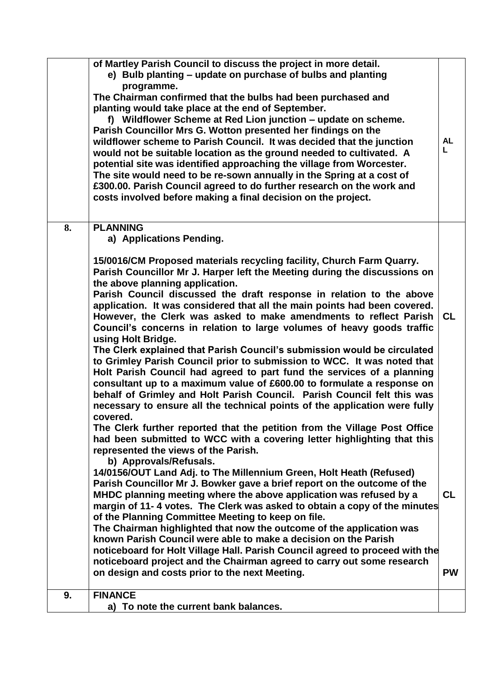|    | of Martley Parish Council to discuss the project in more detail.<br>e) Bulb planting - update on purchase of bulbs and planting<br>programme.<br>The Chairman confirmed that the bulbs had been purchased and<br>planting would take place at the end of September.<br>f) Wildflower Scheme at Red Lion junction – update on scheme.<br>Parish Councillor Mrs G. Wotton presented her findings on the<br>wildflower scheme to Parish Council. It was decided that the junction<br>would not be suitable location as the ground needed to cultivated. A<br>potential site was identified approaching the village from Worcester.<br>The site would need to be re-sown annually in the Spring at a cost of<br>£300.00. Parish Council agreed to do further research on the work and<br>costs involved before making a final decision on the project.                                                                                                                                                                                            | <b>AL</b><br>L.        |
|----|-----------------------------------------------------------------------------------------------------------------------------------------------------------------------------------------------------------------------------------------------------------------------------------------------------------------------------------------------------------------------------------------------------------------------------------------------------------------------------------------------------------------------------------------------------------------------------------------------------------------------------------------------------------------------------------------------------------------------------------------------------------------------------------------------------------------------------------------------------------------------------------------------------------------------------------------------------------------------------------------------------------------------------------------------|------------------------|
| 8. | <b>PLANNING</b><br>a) Applications Pending.<br>15/0016/CM Proposed materials recycling facility, Church Farm Quarry.<br>Parish Councillor Mr J. Harper left the Meeting during the discussions on<br>the above planning application.<br>Parish Council discussed the draft response in relation to the above<br>application. It was considered that all the main points had been covered.<br>However, the Clerk was asked to make amendments to reflect Parish<br>Council's concerns in relation to large volumes of heavy goods traffic<br>using Holt Bridge.<br>The Clerk explained that Parish Council's submission would be circulated<br>to Grimley Parish Council prior to submission to WCC. It was noted that<br>Holt Parish Council had agreed to part fund the services of a planning<br>consultant up to a maximum value of £600.00 to formulate a response on<br>behalf of Grimley and Holt Parish Council. Parish Council felt this was<br>necessary to ensure all the technical points of the application were fully<br>covered | <b>CL</b>              |
|    | The Clerk further reported that the petition from the Village Post Office<br>had been submitted to WCC with a covering letter highlighting that this<br>represented the views of the Parish.<br>b) Approvals/Refusals.<br>14/0156/OUT Land Adj. to The Millennium Green, Holt Heath (Refused)<br>Parish Councillor Mr J. Bowker gave a brief report on the outcome of the<br>MHDC planning meeting where the above application was refused by a<br>margin of 11-4 votes. The Clerk was asked to obtain a copy of the minutes<br>of the Planning Committee Meeting to keep on file.<br>The Chairman highlighted that now the outcome of the application was<br>known Parish Council were able to make a decision on the Parish<br>noticeboard for Holt Village Hall. Parish Council agreed to proceed with the<br>noticeboard project and the Chairman agreed to carry out some research<br>on design and costs prior to the next Meeting.                                                                                                     | <b>CL</b><br><b>PW</b> |
| 9. | <b>FINANCE</b><br>a) To note the current bank balances.                                                                                                                                                                                                                                                                                                                                                                                                                                                                                                                                                                                                                                                                                                                                                                                                                                                                                                                                                                                       |                        |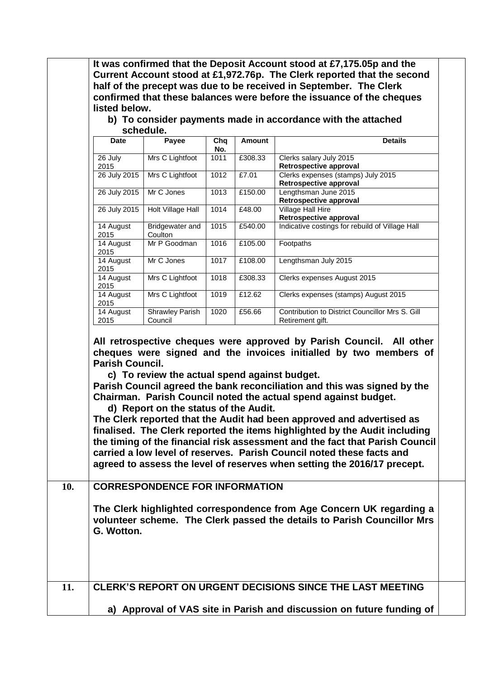| <b>Date</b>                                 | schedule.                                                                          |                   |         | b) To consider payments made in accordance with the attached<br><b>Details</b>                                                                                                                                                                                                                                                                                                                                                                                                                                                                                                                                                                                                       |
|---------------------------------------------|------------------------------------------------------------------------------------|-------------------|---------|--------------------------------------------------------------------------------------------------------------------------------------------------------------------------------------------------------------------------------------------------------------------------------------------------------------------------------------------------------------------------------------------------------------------------------------------------------------------------------------------------------------------------------------------------------------------------------------------------------------------------------------------------------------------------------------|
|                                             | Payee                                                                              | Chq<br>No.        | Amount  |                                                                                                                                                                                                                                                                                                                                                                                                                                                                                                                                                                                                                                                                                      |
| 26 July<br>2015                             | Mrs C Lightfoot                                                                    | $\overline{1011}$ | £308.33 | Clerks salary July 2015<br>Retrospective approval                                                                                                                                                                                                                                                                                                                                                                                                                                                                                                                                                                                                                                    |
| 26 July 2015                                | Mrs C Lightfoot                                                                    | 1012              | £7.01   | Clerks expenses (stamps) July 2015<br>Retrospective approval                                                                                                                                                                                                                                                                                                                                                                                                                                                                                                                                                                                                                         |
| 26 July 2015                                | Mr C Jones                                                                         | 1013              | £150.00 | Lengthsman June 2015<br>Retrospective approval                                                                                                                                                                                                                                                                                                                                                                                                                                                                                                                                                                                                                                       |
| 26 July 2015                                | <b>Holt Village Hall</b>                                                           | 1014              | £48.00  | <b>Village Hall Hire</b><br>Retrospective approval                                                                                                                                                                                                                                                                                                                                                                                                                                                                                                                                                                                                                                   |
| 14 August<br>2015                           | Bridgewater and                                                                    | $\overline{1015}$ | £540.00 | Indicative costings for rebuild of Village Hall                                                                                                                                                                                                                                                                                                                                                                                                                                                                                                                                                                                                                                      |
| 14 August                                   | Coulton<br>Mr P Goodman                                                            | 1016              | £105.00 | Footpaths                                                                                                                                                                                                                                                                                                                                                                                                                                                                                                                                                                                                                                                                            |
| 2015<br>14 August                           | Mr C Jones                                                                         | 1017              | £108.00 | Lengthsman July 2015                                                                                                                                                                                                                                                                                                                                                                                                                                                                                                                                                                                                                                                                 |
| 2015<br>14 August                           | Mrs C Lightfoot                                                                    | 1018              | £308.33 | Clerks expenses August 2015                                                                                                                                                                                                                                                                                                                                                                                                                                                                                                                                                                                                                                                          |
| 2015<br>14 August                           | Mrs C Lightfoot                                                                    | 1019              | £12.62  | Clerks expenses (stamps) August 2015                                                                                                                                                                                                                                                                                                                                                                                                                                                                                                                                                                                                                                                 |
| 2015                                        |                                                                                    |                   |         |                                                                                                                                                                                                                                                                                                                                                                                                                                                                                                                                                                                                                                                                                      |
| 14 August<br>2015<br><b>Parish Council.</b> | <b>Shrawley Parish</b><br>Council<br>c) To review the actual spend against budget. | 1020              | £56.66  | Contribution to District Councillor Mrs S. Gill<br>Retirement gift.                                                                                                                                                                                                                                                                                                                                                                                                                                                                                                                                                                                                                  |
|                                             | d) Report on the status of the Audit.<br><b>CORRESPONDENCE FOR INFORMATION</b>     |                   |         | All retrospective cheques were approved by Parish Council. All other<br>cheques were signed and the invoices initialled by two members of<br>Parish Council agreed the bank reconciliation and this was signed by the<br>Chairman. Parish Council noted the actual spend against budget.<br>The Clerk reported that the Audit had been approved and advertised as<br>finalised. The Clerk reported the items highlighted by the Audit including<br>the timing of the financial risk assessment and the fact that Parish Council<br>carried a low level of reserves. Parish Council noted these facts and<br>agreed to assess the level of reserves when setting the 2016/17 precept. |